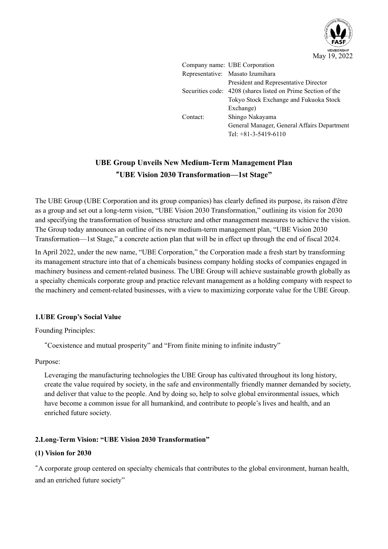

|          | Company name: UBE Corporation                                |
|----------|--------------------------------------------------------------|
|          | Representative: Masato Izumihara                             |
|          | President and Representative Director                        |
|          | Securities code: 4208 (shares listed on Prime Section of the |
|          | Tokyo Stock Exchange and Fukuoka Stock                       |
|          | Exchange)                                                    |
| Contact: | Shingo Nakayama                                              |
|          | General Manager, General Affairs Department                  |
|          | Tel: $+81-3-5419-6110$                                       |
|          |                                                              |

# **UBE Group Unveils New Medium-Term Management Plan** "**UBE Vision 2030 Transformation—1st Stage"**

The UBE Group (UBE Corporation and its group companies) has clearly defined its purpose, its raison d'être as a group and set out a long-term vision, "UBE Vision 2030 Transformation," outlining its vision for 2030 and specifying the transformation of business structure and other management measures to achieve the vision. The Group today announces an outline of its new medium-term management plan, "UBE Vision 2030 Transformation—1st Stage," a concrete action plan that will be in effect up through the end of fiscal 2024.

In April 2022, under the new name, "UBE Corporation," the Corporation made a fresh start by transforming its management structure into that of a chemicals business company holding stocks of companies engaged in machinery business and cement-related business. The UBE Group will achieve sustainable growth globally as a specialty chemicals corporate group and practice relevant management as a holding company with respect to the machinery and cement-related businesses, with a view to maximizing corporate value for the UBE Group.

# **1.UBE Group's Social Value**

Founding Principles:

"Coexistence and mutual prosperity" and "From finite mining to infinite industry"

Purpose:

Leveraging the manufacturing technologies the UBE Group has cultivated throughout its long history, create the value required by society, in the safe and environmentally friendly manner demanded by society, and deliver that value to the people. And by doing so, help to solve global environmental issues, which have become a common issue for all humankind, and contribute to people's lives and health, and an enriched future society.

# **2.Long-Term Vision: "UBE Vision 2030 Transformation"**

# **(1) Vision for 2030**

"A corporate group centered on specialty chemicals that contributes to the global environment, human health, and an enriched future society"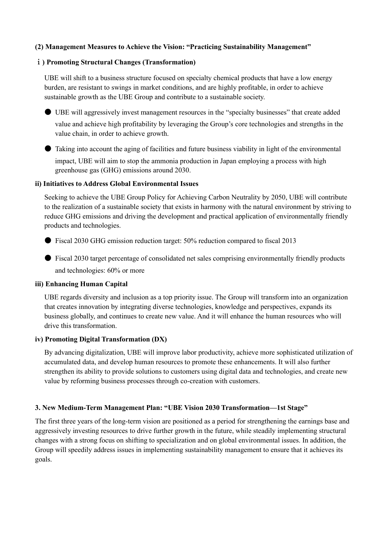# **(2) Management Measures to Achieve the Vision: "Practicing Sustainability Management"**

## ⅰ**) Promoting Structural Changes (Transformation)**

UBE will shift to a business structure focused on specialty chemical products that have a low energy burden, are resistant to swings in market conditions, and are highly profitable, in order to achieve sustainable growth as the UBE Group and contribute to a sustainable society.

● UBE will aggressively invest management resources in the "specialty businesses" that create added value and achieve high profitability by leveraging the Group's core technologies and strengths in the value chain, in order to achieve growth.

● Taking into account the aging of facilities and future business viability in light of the environmental

impact, UBE will aim to stop the ammonia production in Japan employing a process with high greenhouse gas (GHG) emissions around 2030.

#### **ii) Initiatives to Address Global Environmental Issues**

Seeking to achieve the UBE Group Policy for Achieving Carbon Neutrality by 2050, UBE will contribute to the realization of a sustainable society that exists in harmony with the natural environment by striving to reduce GHG emissions and driving the development and practical application of environmentally friendly products and technologies.

 $\bullet$  Fiscal 2030 GHG emission reduction target: 50% reduction compared to fiscal 2013

● Fiscal 2030 target percentage of consolidated net sales comprising environmentally friendly products and technologies: 60% or more

#### **iii) Enhancing Human Capital**

UBE regards diversity and inclusion as a top priority issue. The Group will transform into an organization that creates innovation by integrating diverse technologies, knowledge and perspectives, expands its business globally, and continues to create new value. And it will enhance the human resources who will drive this transformation.

## **iv) Promoting Digital Transformation (DX)**

By advancing digitalization, UBE will improve labor productivity, achieve more sophisticated utilization of accumulated data, and develop human resources to promote these enhancements. It will also further strengthen its ability to provide solutions to customers using digital data and technologies, and create new value by reforming business processes through co-creation with customers.

#### **3. New Medium-Term Management Plan: "UBE Vision 2030 Transformation—1st Stage"**

The first three years of the long-term vision are positioned as a period for strengthening the earnings base and aggressively investing resources to drive further growth in the future, while steadily implementing structural changes with a strong focus on shifting to specialization and on global environmental issues. In addition, the Group will speedily address issues in implementing sustainability management to ensure that it achieves its goals.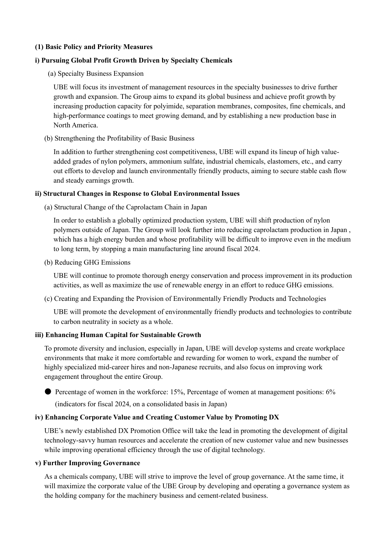## **(1) Basic Policy and Priority Measures**

## **i) Pursuing Global Profit Growth Driven by Specialty Chemicals**

(a) Specialty Business Expansion

UBE will focus its investment of management resources in the specialty businesses to drive further growth and expansion. The Group aims to expand its global business and achieve profit growth by increasing production capacity for polyimide, separation membranes, composites, fine chemicals, and high-performance coatings to meet growing demand, and by establishing a new production base in North America.

(b) Strengthening the Profitability of Basic Business

In addition to further strengthening cost competitiveness, UBE will expand its lineup of high valueadded grades of nylon polymers, ammonium sulfate, industrial chemicals, elastomers, etc., and carry out efforts to develop and launch environmentally friendly products, aiming to secure stable cash flow and steady earnings growth.

#### **ii) Structural Changes in Response to Global Environmental Issues**

(a) Structural Change of the Caprolactam Chain in Japan

In order to establish a globally optimized production system, UBE will shift production of nylon polymers outside of Japan. The Group will look further into reducing caprolactam production in Japan , which has a high energy burden and whose profitability will be difficult to improve even in the medium to long term, by stopping a main manufacturing line around fiscal 2024.

(b) Reducing GHG Emissions

UBE will continue to promote thorough energy conservation and process improvement in its production activities, as well as maximize the use of renewable energy in an effort to reduce GHG emissions.

(c) Creating and Expanding the Provision of Environmentally Friendly Products and Technologies

UBE will promote the development of environmentally friendly products and technologies to contribute to carbon neutrality in society as a whole.

# **iii) Enhancing Human Capital for Sustainable Growth**

To promote diversity and inclusion, especially in Japan, UBE will develop systems and create workplace environments that make it more comfortable and rewarding for women to work, expand the number of highly specialized mid-career hires and non-Japanese recruits, and also focus on improving work engagement throughout the entire Group.

● Percentage of women in the workforce: 15%, Percentage of women at management positions: 6% (indicators for fiscal 2024, on a consolidated basis in Japan)

#### **iv) Enhancing Corporate Value and Creating Customer Value by Promoting DX**

UBE's newly established DX Promotion Office will take the lead in promoting the development of digital technology-savvy human resources and accelerate the creation of new customer value and new businesses while improving operational efficiency through the use of digital technology.

#### **v) Further Improving Governance**

As a chemicals company, UBE will strive to improve the level of group governance. At the same time, it will maximize the corporate value of the UBE Group by developing and operating a governance system as the holding company for the machinery business and cement-related business.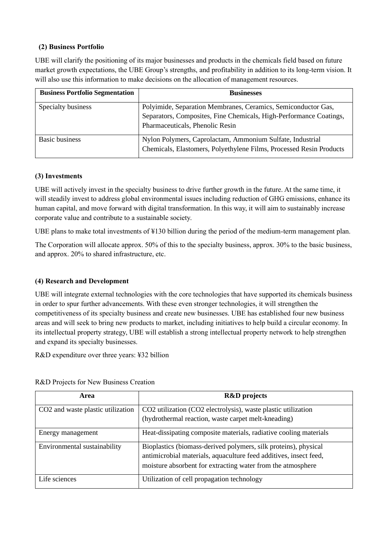# **(2) Business Portfolio**

UBE will clarify the positioning of its major businesses and products in the chemicals field based on future market growth expectations, the UBE Group's strengths, and profitability in addition to its long-term vision. It will also use this information to make decisions on the allocation of management resources.

| <b>Business Portfolio Segmentation</b> | <b>Businesses</b>                                                   |
|----------------------------------------|---------------------------------------------------------------------|
| Specialty business                     | Polyimide, Separation Membranes, Ceramics, Semiconductor Gas,       |
|                                        | Separators, Composites, Fine Chemicals, High-Performance Coatings,  |
|                                        | Pharmaceuticals, Phenolic Resin                                     |
| <b>Basic business</b>                  | Nylon Polymers, Caprolactam, Ammonium Sulfate, Industrial           |
|                                        | Chemicals, Elastomers, Polyethylene Films, Processed Resin Products |

# **(3) Investments**

UBE will actively invest in the specialty business to drive further growth in the future. At the same time, it will steadily invest to address global environmental issues including reduction of GHG emissions, enhance its human capital, and move forward with digital transformation. In this way, it will aim to sustainably increase corporate value and contribute to a sustainable society.

UBE plans to make total investments of ¥130 billion during the period of the medium-term management plan.

The Corporation will allocate approx. 50% of this to the specialty business, approx. 30% to the basic business, and approx. 20% to shared infrastructure, etc.

# **(4) Research and Development**

UBE will integrate external technologies with the core technologies that have supported its chemicals business in order to spur further advancements. With these even stronger technologies, it will strengthen the competitiveness of its specialty business and create new businesses. UBE has established four new business areas and will seek to bring new products to market, including initiatives to help build a circular economy. In its intellectual property strategy, UBE will establish a strong intellectual property network to help strengthen and expand its specialty businesses.

R&D expenditure over three years: ¥32 billion

| Area                              | <b>R&amp;D</b> projects                                           |
|-----------------------------------|-------------------------------------------------------------------|
| CO2 and waste plastic utilization | CO2 utilization (CO2 electrolysis), waste plastic utilization     |
|                                   | (hydrothermal reaction, waste carpet melt-kneading)               |
| Energy management                 | Heat-dissipating composite materials, radiative cooling materials |
| Environmental sustainability      | Bioplastics (biomass-derived polymers, silk proteins), physical   |
|                                   | antimicrobial materials, aquaculture feed additives, insect feed, |
|                                   | moisture absorbent for extracting water from the atmosphere       |
| Life sciences                     | Utilization of cell propagation technology                        |

R&D Projects for New Business Creation